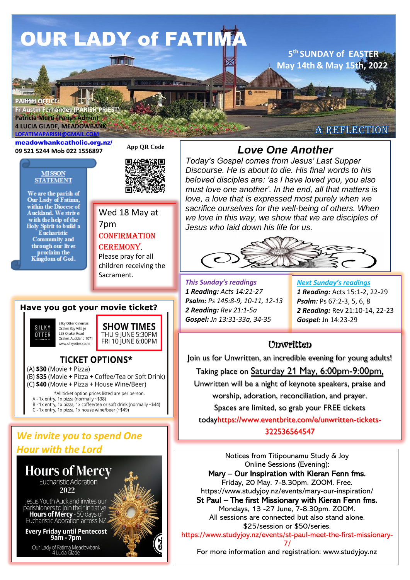# **OUR LADY of FATIMA**

**TALLA** 

**PARISH OFFI Fr Austin Fernandes (PARISH PRIEST) Patricia Murti (Parish Admin) 4 LUCIA GLADE, MEADOWBANK LOFATIMAPAR** 

**Y OFFICE THE STATE OF FATIMATION** 

[meadowbankcatholic.org.nz/](https://meadowbankcatholic.org.nz/)

#### **MISSON STATEMENT**

We are the parish of<br>Our Lady of Fatima,<br>within the Diocese of Auckland. We strive with the help of the Holy Spirit to build a **E** ucharistic Community and through our lives proclaim the<br>Kingdom of God.



**App QR Code**

**Magather** 



## **CONFIRMATION CEREMONY**

Please pray for all children receiving the Sacrament.

## **Have you got your movie ticket?** Silky Otter Cinemas

SILKY Orakei Bay Village **OTTER** 228 Orakei Road Orakei, Auckland 1071 www.silkvotter.co.nz



**TICKET OPTIONS\***  $(A)$  \$30 (Movie + Pizza)

(B) \$35 (Movie + Pizza + Coffee/Tea or Soft Drink) (C) \$40 (Movie + Pizza + House Wine/Beer)

\*All ticket option prices listed are per person.

- A 1x entry, 1x pizza (normally -\$38)<br>B 1x entry, 1x pizza (normally -\$38)<br>B 1x entry, 1x pizza, 1x coffee/tea or soft drink (normally ~\$44)
- C 1x entry, 1x pizza, 1x house wine/beer ( $\text{-}$ \$49)

# *We invite you to spend One Hour with the Lord*



# **09 521 5244 Mob 022 1556897** *Love One Another*

*Today's Gospel comes from Jesus' Last Supper Discourse. He is about to die. His final words to his beloved disciples are: 'as I have loved you, you also must love one another'. In the end, all that matters is love, a love that is expressed most purely when we sacrifice ourselves for the well-being of others. When we love in this way, we show that we are disciples of Jesus who laid down his life for us.*



*This Sunday's readings 1 Reading: Acts 14:21-27 Psalm: Ps 145:8-9, 10-11, 12-13 2 Reading: Rev 21:1-5a Gospel: Jn 13:31-33a, 34-35*

*Next Sunday's readings 1 Reading:* Acts 15:1-2, 22-29 *Psalm:* Ps 67:2-3, 5, 6, 8 *2 Reading:* Rev 21:10-14, 22-23 *Gospel:* Jn 14:23-29

**5 th SUNDAY of EASTER May 14th & May 15th, 2022**

A REFLECTION

## Unwritten

Join us for Unwritten, an incredible evening for young adults!

*Gospel:* Jn 20:19-31 Taking place on Saturday 21 May, 6:00pm-9:00pm,

Unwritten will be a night of keynote speakers, praise and worship, adoration, reconciliation, and prayer.

Spaces are limited, so grab your FREE tickets

todayhttps://www.eventbrite.com/e/unwritten-tickets-

322536564547

Notices from Titipounamu Study & Joy Online Sessions (Evening): Mary – Our Inspiration with Kieran Fenn fms. Friday, 20 May, 7-8.30pm. ZOOM. Free. https://www.studyjoy.nz/events/mary-our-inspiration/ St Paul – The first Missionary with Kieran Fenn fms. Mondays, 13 -27 June, 7-8.30pm. ZOOM. All sessions are connected but also stand alone. \$25/session or \$50/series.

https://www.studyjoy.nz/events/st-paul-meet-the-first-missionary-7/

For more information and registration: www.studyjoy.nz